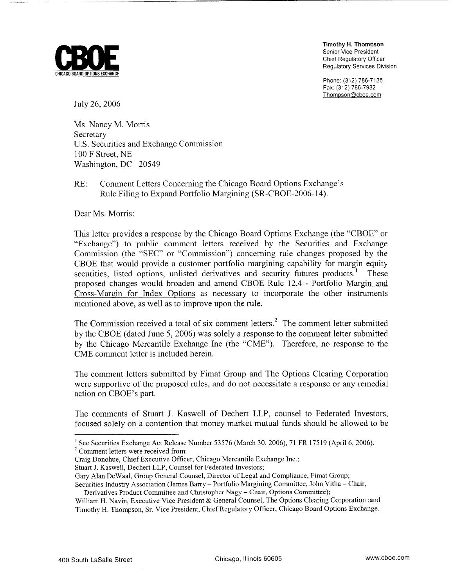

**Timothy H. Thompson**  Senior Vice President Chief Regulatory Officer Regulatory Services Division

Phone. (312) 786-7135 Fax: (312) 786-7982 Thompson@cboe.com

July 26,2006

Ms. Nancy M. Morris Secretary U.S. Securities and Exchange Commission 100 F Street, NE Washington, DC 20549

RE: Comment Letters Concerning the Chicago Board Options Exchange's Rule Filing to Expand Portfolio Margining (SR-CBOE-2006-14).

Dear Ms. Morris:

This letter provides a response by the Chicago Board Options Exchange (the "CBOE" or "Exchange") to public comment letters received by the Securities and Exchange Commission (the "SEC" or "Commission") concerning rule changes proposed by the CBOE that would provide a customer portfolio margining capability for margin equity securities, listed options, unlisted derivatives and security futures products.<sup>1</sup> These proposed changes would broaden and amend CBOE Rule 12.4 - Portfolio Margin and Cross-Margin for Index Options as necessary to incorporate the other instruments mentioned above, as well as to improve upon the rule.

The Commission received a total of six comment letters.<sup>2</sup> The comment letter submitted by the CBOE (dated June 5, 2006) was solely a response to the comment letter submitted by the Chicago Mercantile Exchange Inc (the "CME"). Therefore, no response to the CME comment letter is included herein.

The comment letters submitted by Fimat Group and The Options Clearing Corporation were supportive of the proposed rules, and do not necessitate a response or any remedial action on CBOE's part.

The comments of Stuart J. Kaswell of Dechert LLP, counsel to Federated Investors, focused solely on a contention that money market mutual funds should be allowed to be

<sup>2</sup> Comment letters were received from:

<sup>&</sup>lt;sup>1</sup> See Securities Exchange Act Release Number 53576 (March 30, 2006), 71 FR 17519 (April 6, 2006).

Craig Donohue, Chief Executive Officer, Chicago Mercantile Exchange Inc.;

Stuart J. Kaswell, Dechert LLP, Counsel for Federated Investors;

Gary Alan DeWaal, Group General Counsel, Director of Legal and Compliance, Fimat Group;

Securities Industry Association (James Barry - Portfolio Margining Committee, John Vitha - Chair, Derivatives Product Committee and Christopher Nagy - Chair, Options Committee);

William H. Navin, Executive Vice President & General Counsel, The Options Clearing Corporation ;and Timothy H. Thompson, Sr. Vice President, Chief Regulatory Officer, Chicago Board Options Exchange.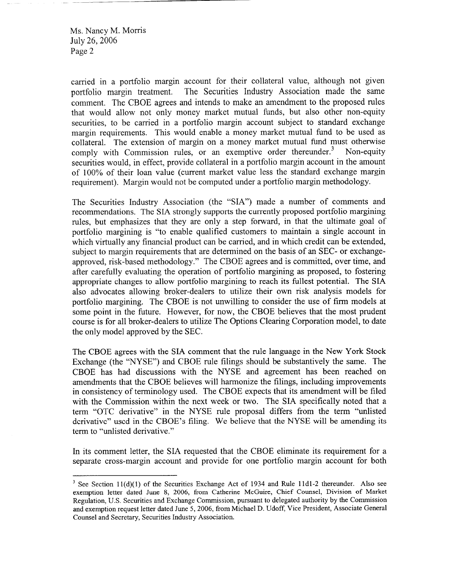carried in a portfolio margin account for their collateral value, although not given portfolio margin treatment. The Securities Industry Association made the same comment. The CBOE agrees and intends to make an amendment to the proposed rules that would allow not only money market mutual funds, but also other non-equity securities, to be carried in a portfolio margin account subject to standard exchange margin requirements. This would enable a money market mutual fund to be used as collateral. The extension of margin on a money market mutual fund must otherwise comply with Commission rules, or an exemptive order thereunder.<sup>3</sup> Non-equity securities would, in effect, provide collateral in a portfolio margin account in the amount of 100% of their loan value (current market value less the standard exchange margin requirement). Margin would not be computed under a portfolio margin methodology.

The Securities Industry Association (the "SIA") made a number of comments and recommendations. The SIA strongly supports the currently proposed portfolio margining rules, but emphasizes that they are only a step forward, in that the ultimate goal of portfolio margining is "to enable qualified customers to maintain a single account in which virtually any financial product can be carried, and in which credit can be extended, subject to margin requirements that are determined on the basis of an SEC- or exchangeapproved, risk-based methodology." The CBOE agrees and is committed, over time, and after carefully evaluating the operation of portfolio margining as proposed, to fostering appropriate changes to allow portfolio margining to reach its fullest potential. The SIA also advocates allowing broker-dealers to utilize their own risk analysis models for portfolio margining. The CBOE is not unwilling to consider the use of firm models at some point in the future. However, for now, the CBOE believes that the most prudent course is for all broker-dealers to utilize The Options Clearing Corporation model, to date the only model approved by the SEC.

The CBOE agrees with the **SIA** comment that the rule languagc in the Ncw York Stock Exchange (the "NYSE") and CBOE rule filings should be substantively the same. The CBOE has had discussions with the NYSE and agreement has been reached on amendments that the CBOE believes will harmonize the filings, including improvements in consistency of terminology used. The CBOE expects that its amendment will be filed with the Commission within the next week or two. The **SIA** specifically noted that a term "OTC derivative" in the NYSE rule proposal differs from the term "unlisted derivative" used in the CBOE's filing. We believe that the NYSE will be amending its term to "unlisted derivative."

In its comment letter, the SIA requested that the CBOE eliminate its requirement for a separate cross-margin account and provide for one portfolio margin account for both

<sup>&</sup>lt;sup>3</sup> See Section  $11(d)(1)$  of the Securities Exchange Act of 1934 and Rule 11d1-2 thereunder. Also see exemption letter dated June 8, 2006, from Catherine McGuire, Chief Counsel, Division of Market Regulation, U.S. Securities and Exchange Commission, pursuant to delegated authority by the Commission and exemption request letter dated June *5,* 2006, from Michael D. Udoff, Vice President, Associate General Counsel and Secretary, Securities Industry Association.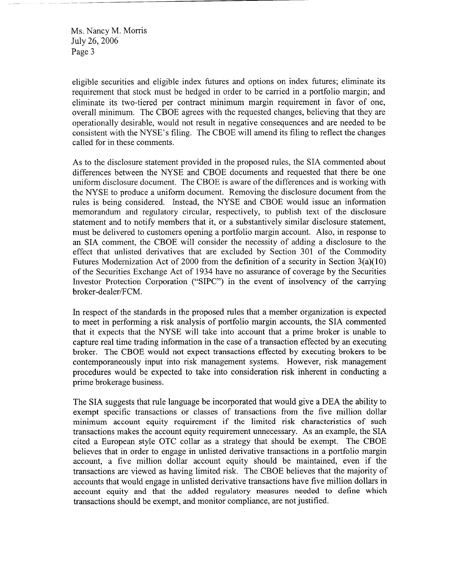eligible securities and eligible index futures and options on index futures; eliminate its requirement that stock must be hedged in order to be camed in a portfolio margin; and eliminate its two-tiered per contract minimum margin requirement in favor of one, overall minimum. The CBOE agrees with the requested changes, believing that they are operationally desirable, would not result in negative consequences and are needed to be consistent with the NYSE's filing. The CBOE will amend its filing to reflect the changes called for in these comments.

As to the disclosure statement provided in the proposed rules, the SIA commented about differences between the NYSE and CBOE documents and requested that there be one uniform disclosure document. The CBOE is aware of the differences and is working with the NYSE to produce a uniform document. Removing the disclosure document from the rules is being considered. Instead, the NYSE and CBOE would issue an information memorandum and regulatory circular, respectively, to publish text of the disclosure statement and to notify members that it, or a substantively similar disclosure statement, must be delivered to customers opening a portfolio margin account. Also, in response to an SIA comment, the CBOE will consider the necessity of adding a disclosure to the effect that unlisted derivatives that are excluded by Section 301 of the Commodity Futures Modernization Act of 2000 from the definition of a security in Section 3(a)(10) of the Securities Exchange Act of 1934 have no assurance of coverage by the Securities Investor Protection Corporation ("SIPC") in the event of insolvency of the carrying broker-dealer/FCM.

In respect of the standards in the proposed rules that a member organization is expected to meet in performing a risk analysis of portfolio margin accounts, the SIA commented that it expects that the NYSE will take into account that a prime broker is unable to capture real time trading information in the case of a transaction effected by an executing broker. The CBOE would not expect transactions effected by executing brokers to be contemporaneously input into risk management systems. However, risk management procedures would be expected to take into consideration risk inherent in conducting a prime brokerage business.

The SIA suggests that rule language be incorporated that would give a DEA the ability to exempt specific transactions or classes of transactions from the five million dollar minimum account equity requirement if the limited risk characteristics of such transactions makes the account equity requirement unnecessary. As an example, the SIA cited a European style OTC collar as a strategy that should be exempt. The CBOE believes that in order to engage in unlisted derivative transactions in a portfolio margin account, a five million dollar account equity should be maintained, even if the transactions are viewed as having limited risk. The CBOE believes that the majority of accounts that would engage in unlisted derivative transactions have five million dollars in account equity and that the added regulatory measures needed to define which transactions should be exempt, and monitor compliance, are not justified.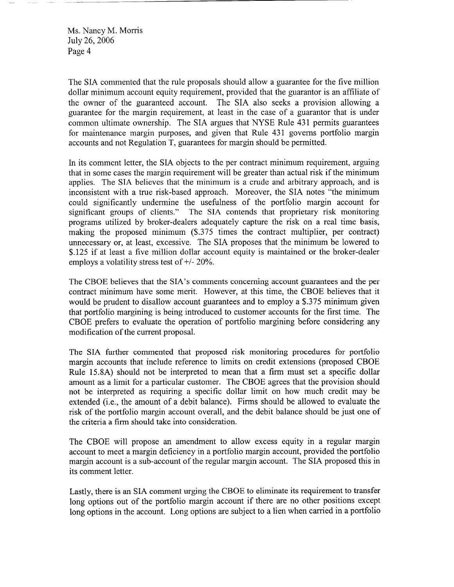The SIA commented that the rule proposals should allow a guarantee for the five million dollar minimum account equity requirement, provided that the guarantor is an affiliate of the owner of the guaranteed account. The SIA also seeks a provision allowing a guarantee for the margin requirement, at least in the case of a guarantor that is under common ultimate ownership. The SIA argues that NYSE Rule 431 permits guarantees for maintenance margin purposes, and given that Rule 431 governs portfolio margin accounts and not Regulation T, guarantees for margin should be permitted.

In its comment letter, the SIA objects to the per contract minimum requirement, arguing that in some cases the margin requirement will be greater than actual risk if the minimum applies. The SIA believes that the minimum is a crude and arbitrary approach, and is inconsistent with a true risk-based approach. Moreover, the SIA notes "the minimum could significantly undermine the usefulness of the portfolio margin account for significant groups of clients." The SIA contends that proprietary risk monitoring programs utilized by broker-dealers adequately capture the risk on a real time basis, making the proposed minimum (\$.375 times the contract multiplier, per contract) unnecessary or, at least, excessive. The SIA proposes that the minimum be lowered to \$.I25 if at least a five million dollar account equity is maintained or the broker-dealer employs a volatility stress test of  $+/- 20\%$ .

The CBOE believes that the SIA's comments concerning account guarantees and the per contract minimum have some merit. However, at this time, the CBOE believes that it would be prudent to disallow account guarantees and to employ a *\$.375* minimum given that portfolio margining is being introduced to customer accounts for the first time. The CBOE prefers to evaluate the operation of portfolio margining before considering any modification of the current proposal.

The SIA further commented that proposed risk monitoring procedures for portfolio margin accounts that include reference to limits on credit extensions (proposed CBOE Rule 15.8A) should not be interpreted to mean that a firm must set a specific dollar amount as a limit for a particular customer. The CBOE agrees that the provision should not be interpreted as requiring a specific dollar limit on how much credit may be extended (i.e., the amount of a debit balance). Firms should be allowed to evaluate the risk of the portfolio margin account overall, and the debit balance should be just one of the criteria a firm should takc into considcration.

The CBOE will propose an amendment to allow excess equity in a regular margin account to meet a margin deficiency in a portfolio margin account, provided the portfolio margin account is a sub-account of the regular margin account. The SIA proposed this in its comment letter.

Lastly, there is an SIA comment urging the CBOE to eliminate its requirement to transfer long options out of the portfolio margin account if there are no other positions except long options in the account. Long options are subject to a lien when carried in a portfolio